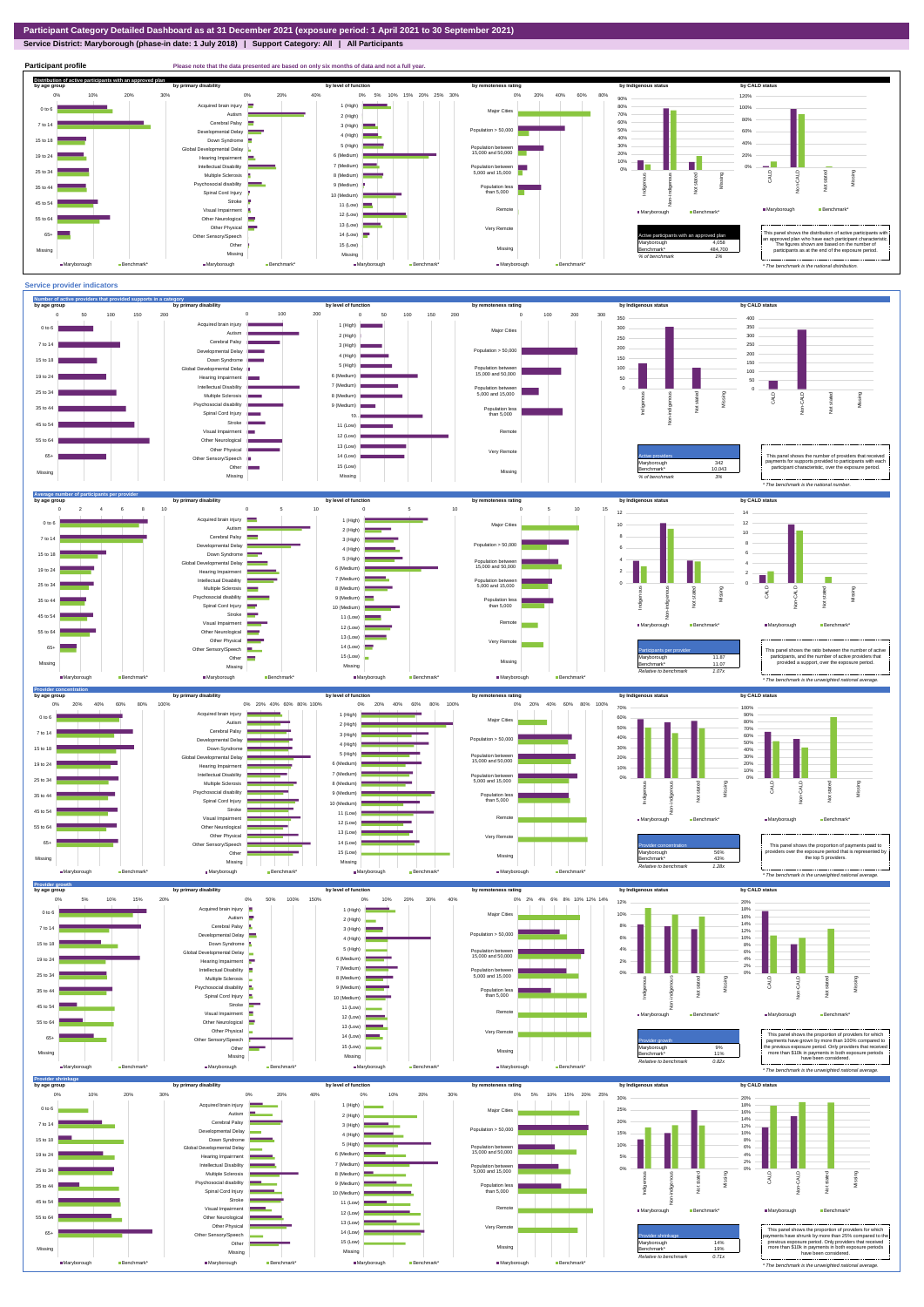**Service District: Maryborough (phase-in date: 1 July 2018) | Support Category: All | All Participants**



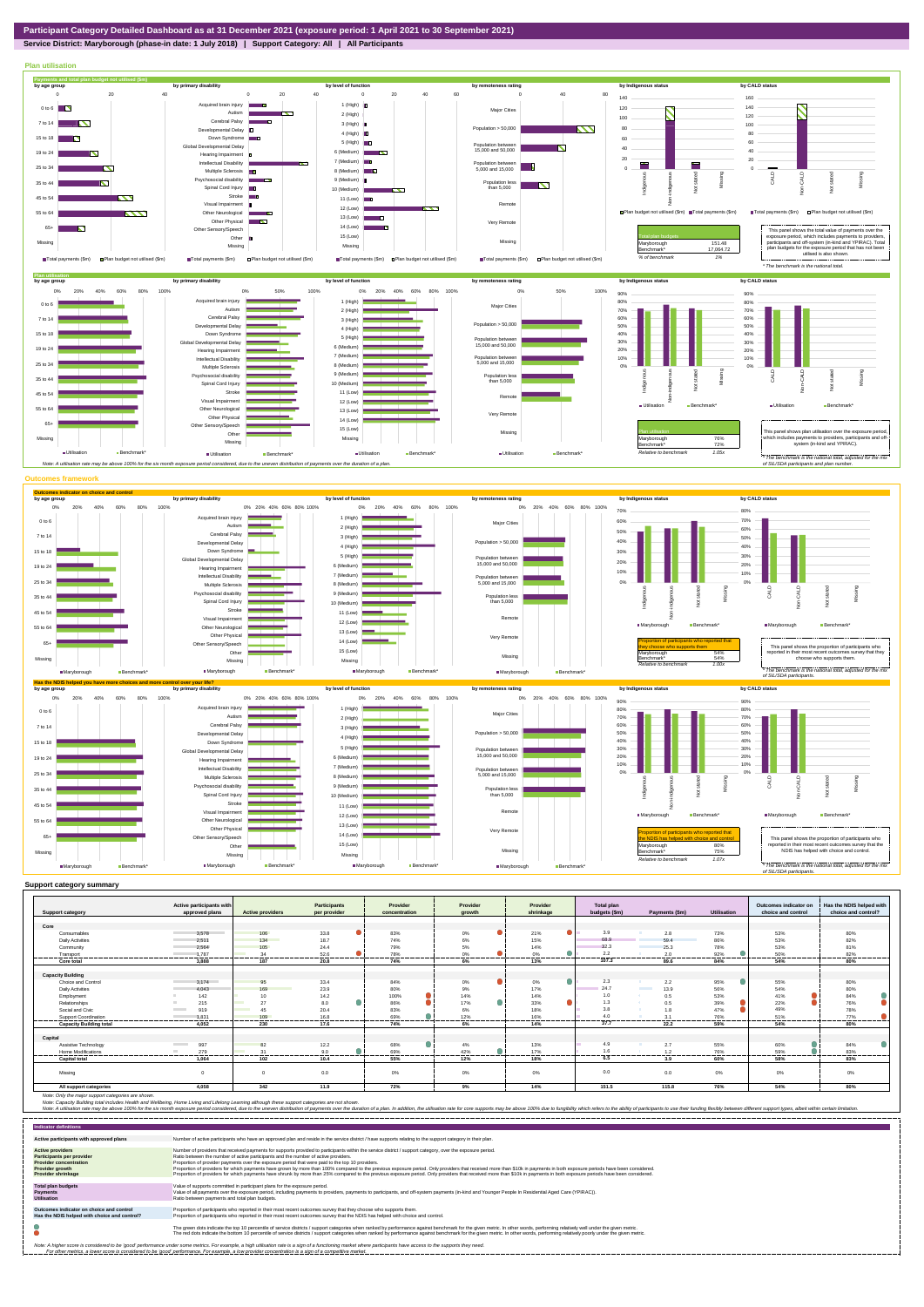**Service District: Maryborough (phase-in date: 1 July 2018) | Support Category: All | All Participants**



|                                | Active participants with        |                         | <b>Participants</b> | Provider       | Provider         | Provider           | Total plan      |                                  |               | Outcomes indicator on | Has the NDIS helped with |
|--------------------------------|---------------------------------|-------------------------|---------------------|----------------|------------------|--------------------|-----------------|----------------------------------|---------------|-----------------------|--------------------------|
| <b>Support category</b>        | approved plans                  | <b>Active providers</b> | per provider        | concentration  | arowth           | shrinkage          | budgets (\$m)   | Payments (\$m)                   | Utilisation   | choice and control    | choice and control?      |
|                                |                                 |                         |                     |                |                  |                    |                 |                                  |               |                       |                          |
| Core                           |                                 |                         |                     |                |                  |                    |                 |                                  |               |                       |                          |
| Consumables                    | 3.578                           | 106                     | 33.8                | 83%            | 0%               | $\bullet$<br>21%   | 3.9             | 2.8                              | 73%           | 53%                   | 80%                      |
| <b>Daily Activities</b>        | 2.511                           | 134                     | 18.7                | 74%            | 6%               | 15%                | 68.9            | 59.4                             | 86%           | 53%                   | 82%                      |
| Community                      | 2.564                           | 105                     | 24.4                | 79%            | 5%               | 14%                | 32.3            | 25.3                             | 78%           | 53%                   | 81%                      |
| Transport                      | 1.787<br>                       | 34<br>-------           | 52.6<br>-------     | 78%<br>------- | 0%<br>------     | ≏<br>0%<br>        | 2.2<br>-------- | 2.0<br>--------                  | 92%<br>------ | 50%<br>-------        | 82%<br>-------           |
| Core total                     | 3,888                           | 187                     | 20.8                | 74%            | 6%               | 13%                | 107.3           | 89.6                             | 84%           | 54%                   | 80%                      |
|                                |                                 |                         |                     |                |                  |                    |                 |                                  |               |                       |                          |
| <b>Capacity Building</b>       |                                 |                         |                     |                |                  |                    |                 |                                  |               |                       |                          |
| Choice and Control             | 3.174                           | 95                      | 33.4                | 84%            | 0%               | $\bullet$<br>$0\%$ | 2.3             | 2.2                              | 95%           | 55%                   | 80%                      |
| <b>Daily Activities</b>        | 4.043                           | 169                     | 23.9                | 80%            | 9%               | 17%                | 24.7            | 13.9<br><b>Contract Contract</b> | 56%           | 54%                   | 80%                      |
| Employment                     | 142                             | 10 <sup>1</sup>         | 14.2                | 100%           | 14%              | 14%                | 1.0             | 0.5                              | 53%           | 41%                   | 84%                      |
| Relationships                  | 215                             | 27                      | 8.0                 | 86%            | $\bullet$<br>17% | a.<br>33%          | 1.3             | 0.5                              | 39%           | 22%                   | 76%                      |
| Social and Civic               | 919<br><b>Contract Contract</b> | 45                      | 20.4                | 83%            | 6%               | 18%                | 3.8             | 1.8                              | 47%           | 49%                   | 78%                      |
| Support Coordination           | 1.831                           | 109                     | 16.8                | 69%            | 12%              | 16%                | 40              | 3.1                              | 76%           | 51%                   | 77%<br>-----             |
| <b>Capacity Building total</b> | 4.052                           | -------<br>230          | -------<br>17.6     | -------<br>74% | ------<br>6%     | .<br>14%           | 37.7            | --------<br>22.2                 | 59%           | .<br>54%              | ---------<br>80%         |
|                                |                                 |                         |                     |                |                  |                    |                 |                                  |               |                       |                          |
| Capital                        |                                 |                         |                     |                |                  |                    |                 |                                  |               |                       |                          |
| Assistive Technology           | 997                             | 82                      | 12.2                | 68%            | 4%               | 13%                | 4.9             | 2.7                              | 55%           | 60%                   | 84%                      |
| Home Modifications             | 279<br><b>COL</b>               | 31                      | 9.0                 | 69%            | 42%              | 17%                | 1.6             | 1.2                              | 76%           | 59%                   | 83%                      |
| <b>Capital total</b>           | 1.064                           | 102                     | 10.4                | 55%            | 12%              | 18%                | 6.5             | 3.9                              | 60%           | 58%                   | 83%                      |
| Missing                        | $\Omega$                        | $\Omega$                | 0.0                 | 0%             | 0%               | 0%                 | 0.0             | 0.0                              | $0\%$         | 0%                    | 0%                       |
| All support categories         | 4.058                           | 342                     | 11.9                | 72%            | 9%               | 14%                | 151.5           | 115.8                            | 76%           | 54%                   | 80%                      |

Note: Only the major support categories are shown.<br>Note: Capacity Building total individual Wellbeing, Home Living and Lifelong Learning although these support categories are not shown.<br>Note: A utilisation rate may be abov

| <b>Indicator definitions</b>                                                                                                                        |                                                                                                                                                                                                                                                                                                                                                                                                                                                                                                                                                                                                                                                                                                                                                                                                                 |
|-----------------------------------------------------------------------------------------------------------------------------------------------------|-----------------------------------------------------------------------------------------------------------------------------------------------------------------------------------------------------------------------------------------------------------------------------------------------------------------------------------------------------------------------------------------------------------------------------------------------------------------------------------------------------------------------------------------------------------------------------------------------------------------------------------------------------------------------------------------------------------------------------------------------------------------------------------------------------------------|
| Active participants with approved plans                                                                                                             | Number of active participants who have an approved plan and reside in the service district / have supports relating to the support category in their plan.                                                                                                                                                                                                                                                                                                                                                                                                                                                                                                                                                                                                                                                      |
| <b>Active providers</b><br><b>Participants per provider</b><br><b>Provider concentration</b><br><b>Provider growth</b><br><b>Provider shrinkage</b> | Number of providers that received payments for supports provided to participants within the service district / support category, over the exposure period.<br>Ratio between the number of active participants and the number of active providers.<br>Proportion of provider payments over the exposure period that were paid to the top 10 providers.<br>Proportion of providers for which payments have grown by more than 100% compared to the previous exposure period. Only providers that received more than \$10k in payments in both exposure periods have been considered.<br>Proportion of providers for which payments have shrunk by more than 25% compared to the previous exposure period. Only providers that received more than \$10k in payments in both exposure periods have been considered. |
| <b>Total plan budgets</b><br><b>Payments</b><br><b>Utilisation</b>                                                                                  | Value of supports committed in participant plans for the exposure period.<br>Value of all payments over the exposure period, including payments to providers, payments to participants, and off-system payments (in-kind and Younger People In Residential Aged Care (YPIRAC)).<br>Ratio between payments and total plan budgets.                                                                                                                                                                                                                                                                                                                                                                                                                                                                               |
| Outcomes indicator on choice and control<br>Has the NDIS helped with choice and control?                                                            | Proportion of participants who reported in their most recent outcomes survey that they choose who supports them.<br>Proportion of participants who reported in their most recent outcomes survey that the NDIS has helped with choice and control.                                                                                                                                                                                                                                                                                                                                                                                                                                                                                                                                                              |
|                                                                                                                                                     | The green dots indicate the top 10 percentile of service districts / support categories when ranked by performance against benchmark for the given metric. In other words, performing relatively well under the given metric.<br>The red dots indicate the bottom 10 percentile of service districts / support categories when ranked by performance against benchmark for the given metric. In other words, performing relatively poorly under the given metri                                                                                                                                                                                                                                                                                                                                                 |
|                                                                                                                                                     | Note: A higher score is considered to be 'good' performance under some metrics. For example, a high utilisation rate is a sign of a functioning market where participants have access to the supports they need.<br>For other metrics, a lower score is considered to be 'good' performance. For example, a low provider concentration is a sign of a competitive market.                                                                                                                                                                                                                                                                                                                                                                                                                                       |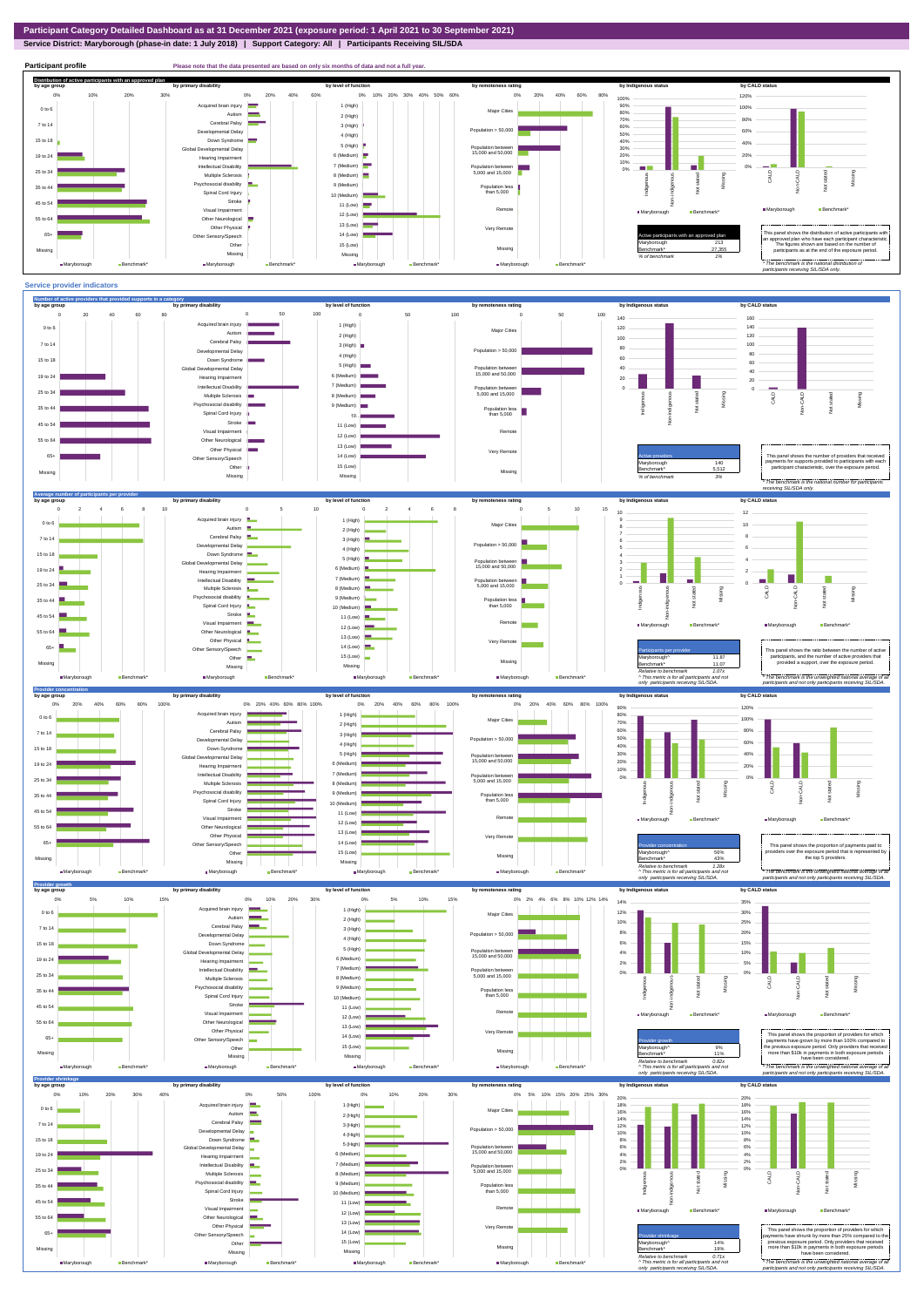**Service District: Maryborough (phase-in date: 1 July 2018) | Support Category: All | Participants Receiving SIL/SDA**



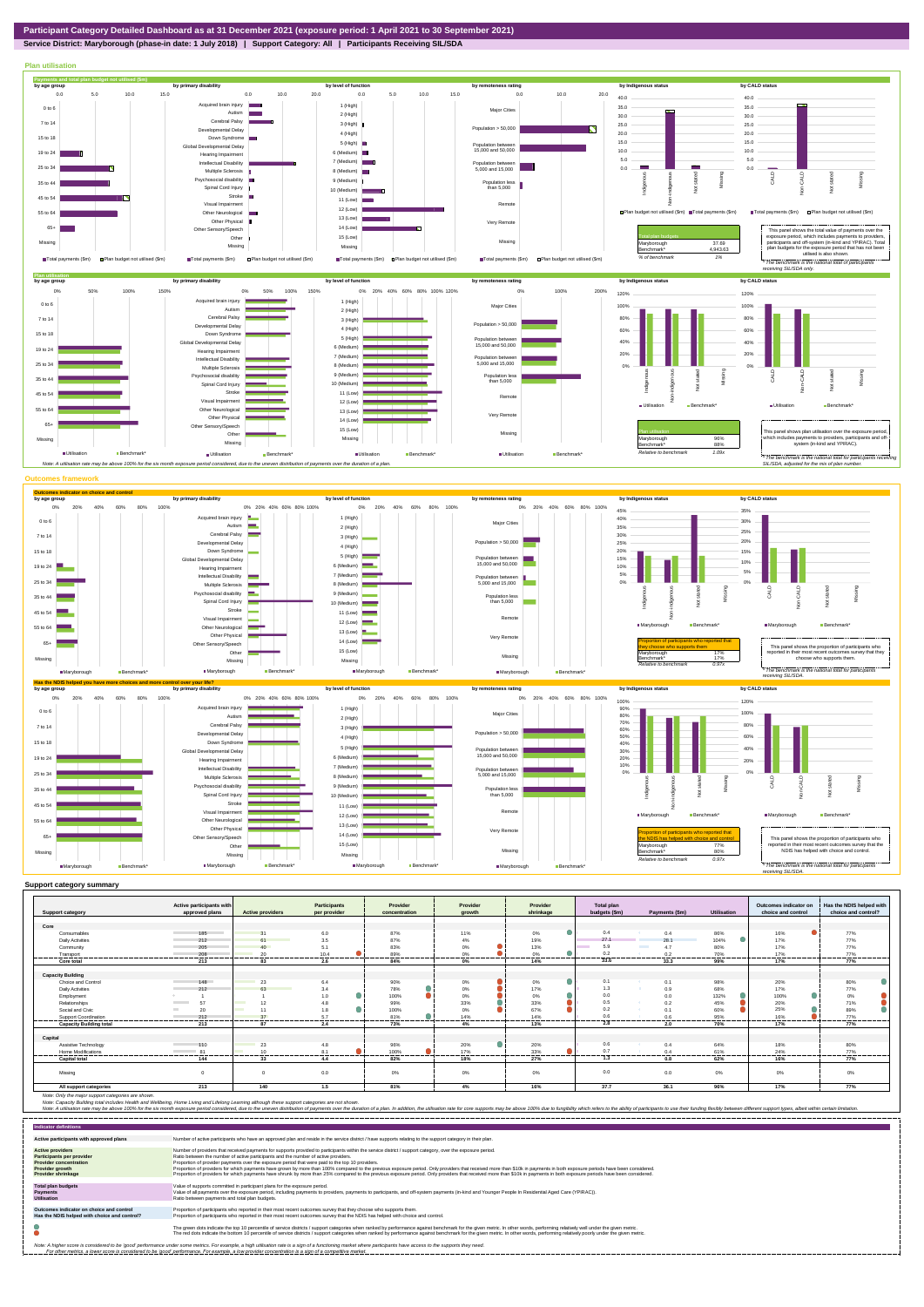**Service District: Maryborough (phase-in date: 1 July 2018) | Support Category: All | Participants Receiving SIL/SDA**



|                                | Active participants with<br>approved plans | <b>Active providers</b> | <b>Participants</b> | Provider       | Provider          | Provider  | <b>Total plan</b> |                  |                    | Outcomes indicator on<br>choice and control | Has the NDIS helped with |
|--------------------------------|--------------------------------------------|-------------------------|---------------------|----------------|-------------------|-----------|-------------------|------------------|--------------------|---------------------------------------------|--------------------------|
| <b>Support category</b>        |                                            |                         | per provider        | concentration  | arowth            | shrinkage | budgets (\$m)     | Payments (\$m)   | <b>Utilisation</b> |                                             | choice and control?      |
| Core                           |                                            |                         |                     |                |                   |           |                   |                  |                    |                                             |                          |
| Consumables                    | 185<br><b>Contract Contract</b>            | 31                      | 6.0                 | 87%            | 11%               | 0%        | 0.4               | 0.4              | 86%                | 16%                                         | 77%                      |
| <b>Daily Activities</b>        | 212                                        | 61                      | 3.5                 | 87%            | 4%                | 19%       | 27.1              | 28.1             | $\bullet$<br>104%  | 17%                                         | 77%                      |
| Community                      | 205                                        | 40 <sup>1</sup>         | 5.1                 | 83%            | 0%                | 13%       | 5.9               | 4.7              | 80%                | 17%                                         | 77%                      |
| Transport                      | 208                                        | 20                      | 10.4                | 89%            | 0%                | 0%        | 0.2               | 0.2              | 70%                | 17%                                         | 77%                      |
| Core total                     | -----------                                | ------                  | .                   | <br>84%        | --------<br>$0\%$ | <br>14%   | <br>33.6          | --------<br>33.3 | .                  | <br>17%                                     | .<br>77%                 |
|                                | 213                                        | 83                      | 2.6                 |                |                   |           |                   |                  | 99%                |                                             |                          |
|                                |                                            |                         |                     |                |                   |           |                   |                  |                    |                                             |                          |
| <b>Capacity Building</b>       | 148                                        |                         |                     |                |                   |           | 0.1               |                  |                    |                                             |                          |
| Choice and Control             |                                            | 23                      | 6.4                 | 90%            | 0%                | 0%        | 1.3               | 0.1              | 98%                | 20%                                         | 80%                      |
| <b>Daily Activities</b>        | 212                                        | 63                      | 3.4                 | 78%<br>100%    | $0\%$<br>0%       | 17%<br>0% | 0.0               | 0.9              | 68%                | 17%<br>100%                                 | 77%                      |
| Employment                     | 57                                         |                         | 1.0                 |                |                   |           | 0.5               | 0.0              | 132%               |                                             | 0%                       |
| Relationships                  |                                            | 12                      |                     | 99%            | 33%               | 33%       |                   | 0.2              | 45%                | 20%                                         | 71%                      |
| Social and Civic               | 20                                         | 11                      | 1.8                 | 100%           | 0%                | 67%       | 0.2               | 0.1              | 60%                | 25%                                         | 89%                      |
| Support Coordination           | 212<br>-------                             | 37                      | 5.7<br>-----        | 81%            | 14%               | 14%       | 0.6               | 0.6              | 95%                | 16%                                         | 77%                      |
| <b>Capacity Building total</b> | 213                                        | 87                      | 2.4                 | 73%            | 4%                | 13%       | 2.8               | 2.0              | 70%                | 17%                                         | 77%                      |
|                                |                                            |                         |                     |                |                   |           |                   |                  |                    |                                             |                          |
| Capital                        |                                            |                         |                     |                |                   |           |                   |                  |                    |                                             |                          |
| Assistive Technology           | 110                                        | 23                      | 4.8                 | 96%            | ●<br>20%          | 20%       | 0.6               | 0.4              | 64%                | 18%                                         | 80%                      |
| Home Modifications             | 81<br>and the company of the company<br>.  | 10<br>                  | 8.1<br>.            | 100%<br>------ | 17%<br>------     | 33%<br>   | 0.7               | 0.4<br>          | 61%<br>-------     | 24%                                         | 77%<br>.                 |
| <b>Capital total</b>           | 144                                        | 33                      | 4.4                 | 82%            | 18%               | 27%       | 1.3               | 0.8              | 62%                | 16%                                         | 77%                      |
|                                |                                            |                         |                     |                |                   |           |                   |                  |                    |                                             |                          |
| Missina                        |                                            |                         | 0.0                 | 0%             | 0%                | 0%        | 0.0               | 0.0              | $0\%$              | 0%                                          | $0\%$                    |
|                                |                                            |                         |                     |                |                   |           |                   |                  |                    |                                             |                          |
| All support categories         | 213                                        | 140                     | 1.5                 | 81%            | 4%                | 16%       | 37.7              | 36.1             | 96%                | 17%                                         | 77%                      |

| <b>Indicator definitions</b>                                                                                                                        |                                                                                                                                                                                                                                                                                                                                                                                                                                                                                                                                                                                                                                                                                                                                                                                                                 |
|-----------------------------------------------------------------------------------------------------------------------------------------------------|-----------------------------------------------------------------------------------------------------------------------------------------------------------------------------------------------------------------------------------------------------------------------------------------------------------------------------------------------------------------------------------------------------------------------------------------------------------------------------------------------------------------------------------------------------------------------------------------------------------------------------------------------------------------------------------------------------------------------------------------------------------------------------------------------------------------|
| Active participants with approved plans                                                                                                             | Number of active participants who have an approved plan and reside in the service district / have supports relating to the support category in their plan.                                                                                                                                                                                                                                                                                                                                                                                                                                                                                                                                                                                                                                                      |
| <b>Active providers</b><br><b>Participants per provider</b><br><b>Provider concentration</b><br><b>Provider growth</b><br><b>Provider shrinkage</b> | Number of providers that received payments for supports provided to participants within the service district / support category, over the exposure period.<br>Ratio between the number of active participants and the number of active providers.<br>Proportion of provider payments over the exposure period that were paid to the top 10 providers.<br>Proportion of providers for which payments have grown by more than 100% compared to the previous exposure period. Only providers that received more than \$10k in payments in both exposure periods have been considered.<br>Proportion of providers for which payments have shrunk by more than 25% compared to the previous exposure period. Only providers that received more than \$10k in payments in both exposure periods have been considered. |
| <b>Total plan budgets</b><br><b>Payments</b><br><b>Utilisation</b>                                                                                  | Value of supports committed in participant plans for the exposure period.<br>Value of all payments over the exposure period, including payments to providers, payments to participants, and off-system payments (in-kind and Younger People In Residential Aged Care (YPIRAC)).<br>Ratio between payments and total plan budgets.                                                                                                                                                                                                                                                                                                                                                                                                                                                                               |
| Outcomes indicator on choice and control<br>Has the NDIS helped with choice and control?                                                            | Proportion of participants who reported in their most recent outcomes survey that they choose who supports them.<br>Proportion of participants who reported in their most recent outcomes survey that the NDIS has helped with choice and control.                                                                                                                                                                                                                                                                                                                                                                                                                                                                                                                                                              |
|                                                                                                                                                     | The green dots indicate the top 10 percentile of service districts / support categories when ranked by performance against benchmark for the given metric. In other words, performing relatively well under the given metric.<br>The red dots indicate the bottom 10 percentile of service districts / support categories when ranked by performance against benchmark for the given metric. In other words, performing relatively poorly under the given metri                                                                                                                                                                                                                                                                                                                                                 |
|                                                                                                                                                     | Note: A higher score is considered to be 'good' performance under some metrics. For example, a high utilisation rate is a sign of a functioning market where participants have access to the supports they need.<br>For other metrics, a lower score is considered to be 'good' performance. For example, a low provider concentration is a sign of a competitive market.                                                                                                                                                                                                                                                                                                                                                                                                                                       |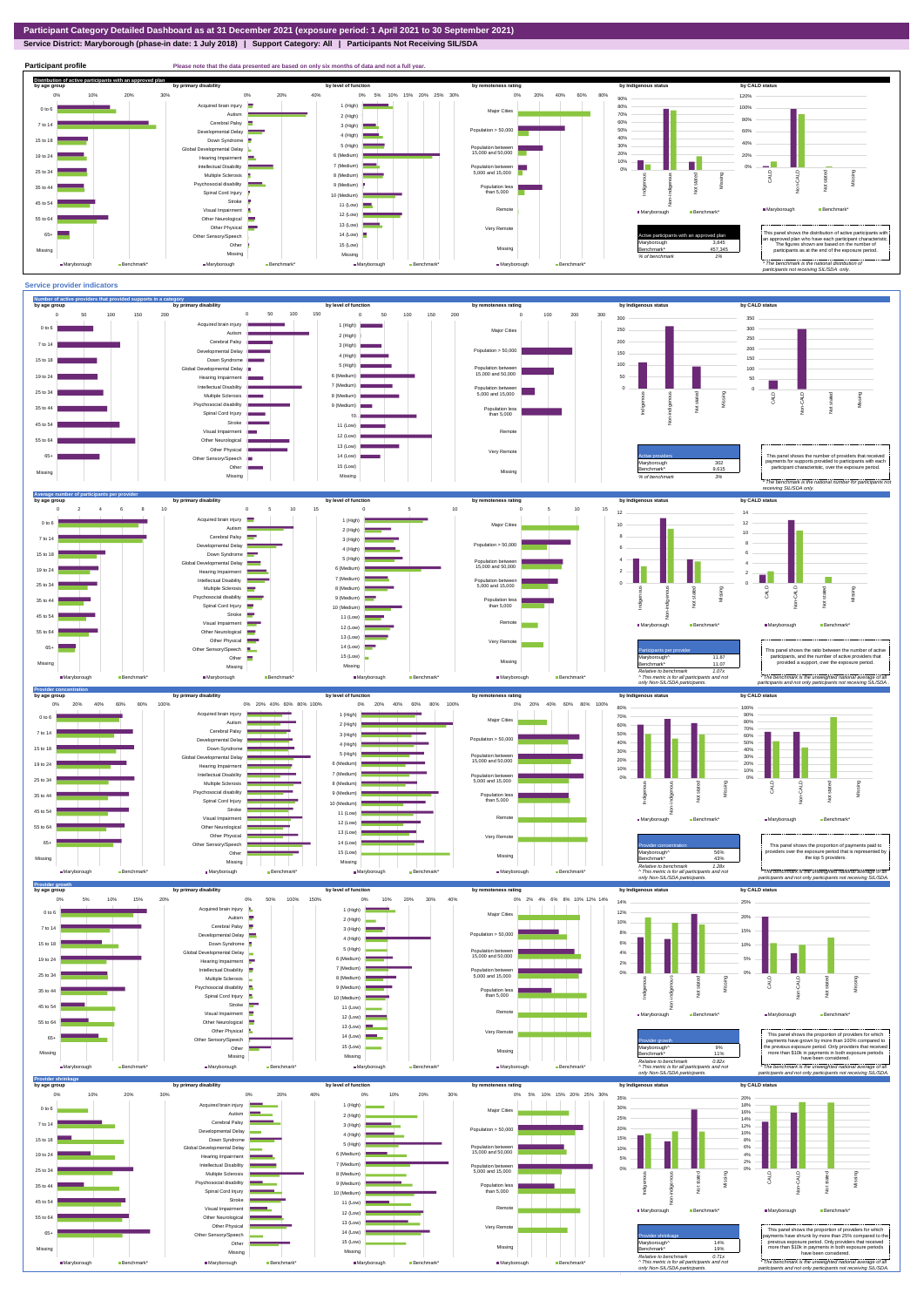**Distribution of active participants with an approved plan** by age group by primary disability by remoteness rating by hdigenous status by CALD status 0% 5% 10% 15% 20% 25% 30% 0% 20% 40% 60% 80% 120% 0% 10% 20% 30% 0% 20% 40% 90% d brain injury 1 (High) 80% 100% ш. 0 to 6 Major Cities Autism **III** 70% 2 (High) 80% 60% Cerebral Palsy 7 to 14 3 (High) ental Delay Population  $> 50,000$ 50% 60% 4 (High) 40% 15 to 18 Down Syndrome 40% 5 (High) 30% Global Developmental Delay Population between 15,000 and 50,000 20% 6 (Medium) 20% 19 to 24 Hearing Impairment  $\equiv$ 10% ٦Ŧ m. J. 7 (Medium) Intellectual Disability 0% Population between 5,000 and 15,000 0% 25 to 34 Multiple Sclerosis 8 (Medium) CALD Non-CALD Missing henous Non-indigenous .<br>cial disability Indigenc Missing 9 (Medium) 35 to 44 Population less than 5,000 nstated in 1916.<br>Note  $\ddot{2}$ Spinal Cord Injury Ť 10 (Medium) Stroke 45 to 54 11 (Low) å Remote ■Maryborough Benchmark Visual Impairment Maryborough Benchmark 12 (Low) 55 to 64 Other Neurological 13 (Low) Other Physical Very Remote Active participants with an approved plan This panel shows the distribution of active participants with an approved plan who have each participant characteristic. 65+ Sensory/Speech 14 (Low) Other 15 (Low) Maryborough 3,845 The figures shown are based on the number of participants as at the end of the exposure period. Missing 457,345 Missing Missing Missing *% of benchmark 1% The benchmark is the natio participants not receiving SIL/SDA only.* Maryborough Benchmark\* ■Maryborough Benchmark\* Maryborough Be ■Maryborough Ben

## **Service District: Maryborough (phase-in date: 1 July 2018) | Support Category: All | Participants Not Receiving SIL/SDA**

**Participant profile Please note that the data presented are based on only six months of data and not a full year.**